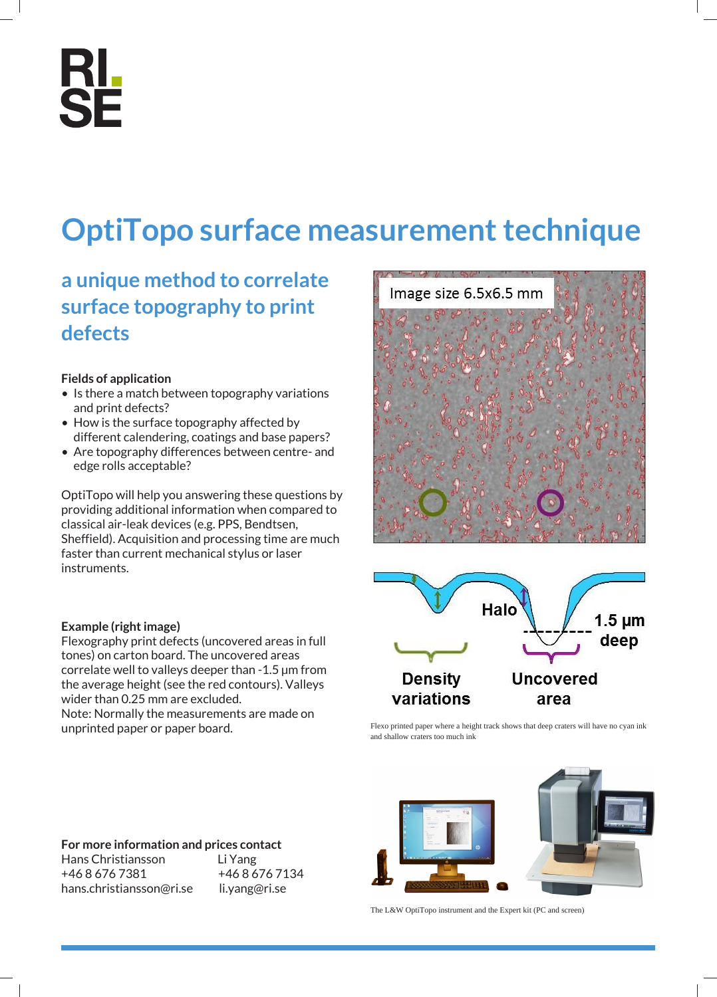## **RL<br>SE**

### **OptiTopo surface measurement technique**

#### **a unique method to correlate surface topography to print defects**

#### **Fields of application**

- Is there a match between topography variations and print defects?
- How is the surface topography affected by different calendering, coatings and base papers?
- Are topography differences between centre- and edge rolls acceptable?

OptiTopo will help you answering these questions by providing additional information when compared to classical air-leak devices (e.g. PPS, Bendtsen, Sheffield). Acquisition and processing time are much faster than current mechanical stylus or laser instruments.

# Image size 6.5x6.5 mm



Flexo printed paper where a height track shows that deep craters will have no cyan ink and shallow craters too much ink



The L&W OptiTopo instrument and the Expert kit (PC and screen)

#### **Example (right image)**

Flexography print defects (uncovered areas in full tones) on carton board. The uncovered areas correlate well to valleys deeper than -1.5 µm from the average height (see the red contours). Valleys wider than 0.25 mm are excluded.

Note: Normally the measurements are made on unprinted paper or paper board.

#### **For more information and prices contact**

Hans Christiansson Li Yang +46 8 676 7381 +46 8 676 7134 hans.christiansson@ri.se li.yang@ri.se